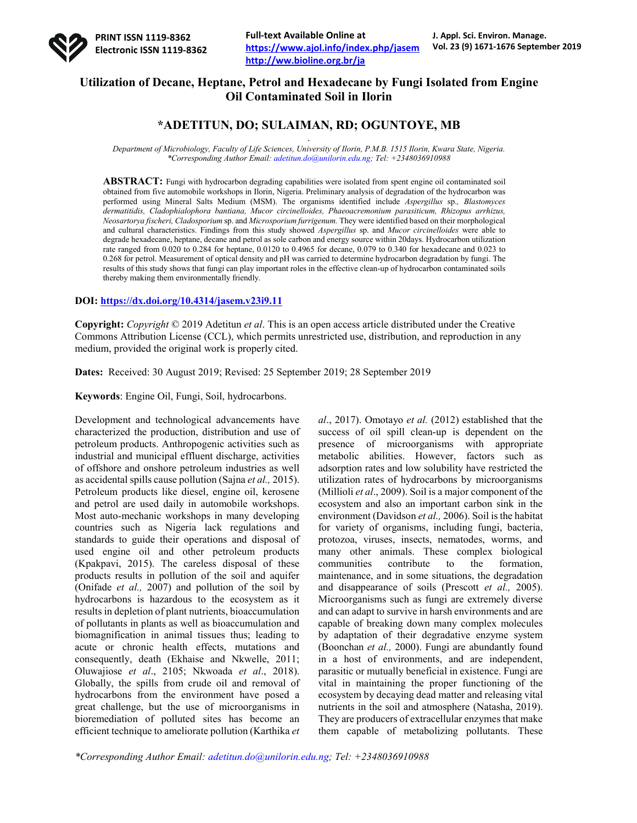

**Full-text Available Online at https://www.ajol.info/index.php/jasem http://ww.bioline.org.br/ja**

# **Utilization of Decane, Heptane, Petrol and Hexadecane by Fungi Isolated from Engine Oil Contaminated Soil in Ilorin**

## **\*ADETITUN, DO; SULAIMAN, RD; OGUNTOYE, MB** .

*Department of Microbiology, Faculty of Life Sciences, University of Ilorin, P.M.B. 1515 Ilorin, Kwara State, Nigeria. \*Corresponding Author Email: adetitun.do@unilorin.edu.ng; Tel: +2348036910988*

**ABSTRACT:** Fungi with hydrocarbon degrading capabilities were isolated from spent engine oil contaminated soil obtained from five automobile workshops in Ilorin, Nigeria. Preliminary analysis of degradation of the hydrocarbon was performed using Mineral Salts Medium (MSM). The organisms identified include *Aspergillus* sp.*, Blastomyces dermatitidis, Cladophialophora bantiana, Mucor circinelloides, Phaeoacremonium parasiticum, Rhizopus arrhizus, Neosartorya fischeri, Cladosporium* sp. and *Microsporium furrigenum.* They were identified based on their morphological and cultural characteristics. Findings from this study showed *Aspergillus* sp. and *Mucor circinelloides* were able to degrade hexadecane, heptane, decane and petrol as sole carbon and energy source within 20days. Hydrocarbon utilization rate ranged from 0.020 to 0.284 for heptane, 0.0120 to 0.4965 for decane, 0.079 to 0.340 for hexadecane and 0.023 to 0.268 for petrol. Measurement of optical density and pH was carried to determine hydrocarbon degradation by fungi. The results of this study shows that fungi can play important roles in the effective clean-up of hydrocarbon contaminated soils thereby making them environmentally friendly.

#### **DOI: https://dx.doi.org/10.4314/jasem.v23i9.11**

**Copyright:** *Copyright* © 2019 Adetitun *et al*. This is an open access article distributed under the Creative Commons Attribution License (CCL), which permits unrestricted use, distribution, and reproduction in any medium, provided the original work is properly cited.

**Dates:** Received: 30 August 2019; Revised: 25 September 2019; 28 September 2019

**Keywords**: Engine Oil, Fungi, Soil, hydrocarbons.

Development and technological advancements have characterized the production, distribution and use of petroleum products. Anthropogenic activities such as industrial and municipal effluent discharge, activities of offshore and onshore petroleum industries as well as accidental spills cause pollution (Sajna *et al.,* 2015). Petroleum products like diesel, engine oil, kerosene and petrol are used daily in automobile workshops. Most auto-mechanic workshops in many developing countries such as Nigeria lack regulations and standards to guide their operations and disposal of used engine oil and other petroleum products (Kpakpavi, 2015). The careless disposal of these products results in pollution of the soil and aquifer (Onifade *et al.,* 2007) and pollution of the soil by hydrocarbons is hazardous to the ecosystem as it results in depletion of plant nutrients, bioaccumulation of pollutants in plants as well as bioaccumulation and biomagnification in animal tissues thus; leading to acute or chronic health effects, mutations and consequently, death (Ekhaise and Nkwelle, 2011; Oluwajiose *et al*., 2105; Nkwoada *et al*., 2018). Globally, the spills from crude oil and removal of hydrocarbons from the environment have posed a great challenge, but the use of microorganisms in bioremediation of polluted sites has become an efficient technique to ameliorate pollution (Karthika *et*  *al*., 2017). Omotayo *et al.* (2012) established that the success of oil spill clean-up is dependent on the presence of microorganisms with appropriate metabolic abilities. However, factors such as adsorption rates and low solubility have restricted the utilization rates of hydrocarbons by microorganisms (Millioli *et al*., 2009). Soil is a major component of the ecosystem and also an important carbon sink in the environment (Davidson *et al.,* 2006). Soil is the habitat for variety of organisms, including fungi, bacteria, protozoa, viruses, insects, nematodes, worms, and many other animals. These complex biological communities contribute to the formation, maintenance, and in some situations, the degradation and disappearance of soils (Prescott *et al.,* 2005). Microorganisms such as fungi are extremely diverse and can adapt to survive in harsh environments and are capable of breaking down many complex molecules by adaptation of their degradative enzyme system (Boonchan *et al.,* 2000). Fungi are abundantly found in a host of environments, and are independent, parasitic or mutually beneficial in existence. Fungi are vital in maintaining the proper functioning of the ecosystem by decaying dead matter and releasing vital nutrients in the soil and atmosphere (Natasha, 2019). They are producers of extracellular enzymes that make them capable of metabolizing pollutants. These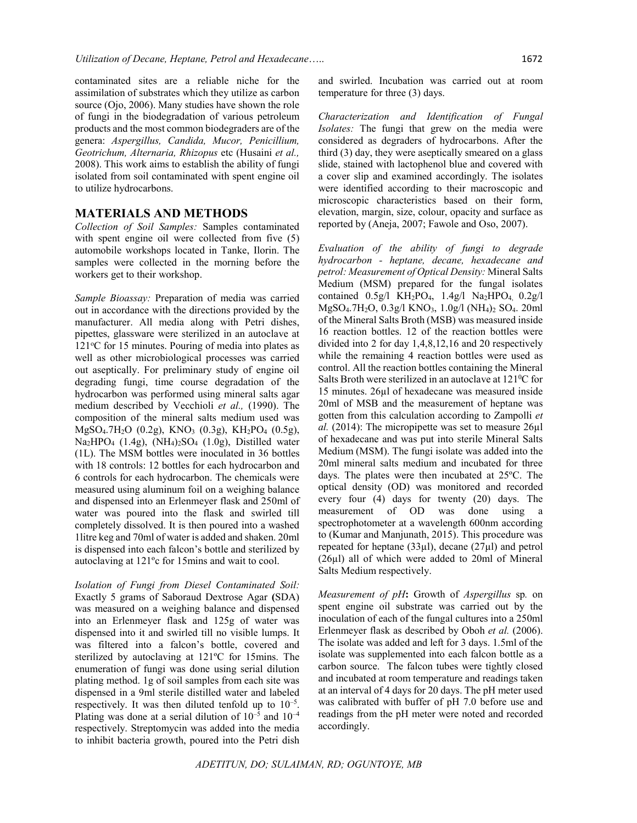contaminated sites are a reliable niche for the assimilation of substrates which they utilize as carbon source (Ojo, 2006). Many studies have shown the role of fungi in the biodegradation of various petroleum products and the most common biodegraders are of the genera: *Aspergillus, Candida, Mucor, Penicillium, Geotrichum, Alternaria, Rhizopus* etc (Husaini *et al.,* 2008). This work aims to establish the ability of fungi isolated from soil contaminated with spent engine oil to utilize hydrocarbons.

#### **MATERIALS AND METHODS**

*Collection of Soil Samples:* Samples contaminated with spent engine oil were collected from five (5) automobile workshops located in Tanke, Ilorin. The samples were collected in the morning before the workers get to their workshop.

*Sample Bioassay:* Preparation of media was carried out in accordance with the directions provided by the manufacturer. All media along with Petri dishes, pipettes, glassware were sterilized in an autoclave at 121°C for 15 minutes. Pouring of media into plates as well as other microbiological processes was carried out aseptically. For preliminary study of engine oil degrading fungi, time course degradation of the hydrocarbon was performed using mineral salts agar medium described by Vecchioli *et al.,* (1990). The composition of the mineral salts medium used was MgSO4.7H2O (0.2g), KNO3 (0.3g), KH2PO4 (0.5g),  $Na<sub>2</sub>HPO<sub>4</sub>$  (1.4g),  $(NH<sub>4</sub>)<sub>2</sub>SO<sub>4</sub>$  (1.0g), Distilled water (1L). The MSM bottles were inoculated in 36 bottles with 18 controls: 12 bottles for each hydrocarbon and 6 controls for each hydrocarbon. The chemicals were measured using aluminum foil on a weighing balance and dispensed into an Erlenmeyer flask and 250ml of water was poured into the flask and swirled till completely dissolved. It is then poured into a washed 1litre keg and 70ml of water is added and shaken. 20ml is dispensed into each falcon's bottle and sterilized by autoclaving at 121ºc for 15mins and wait to cool.

*Isolation of Fungi from Diesel Contaminated Soil:* Exactly 5 grams of Saboraud Dextrose Agar **(**SDA) was measured on a weighing balance and dispensed into an Erlenmeyer flask and 125g of water was dispensed into it and swirled till no visible lumps. It was filtered into a falcon's bottle, covered and sterilized by autoclaving at 121ºC for 15mins. The enumeration of fungi was done using serial dilution plating method. 1g of soil samples from each site was dispensed in a 9ml sterile distilled water and labeled respectively. It was then diluted tenfold up to  $10^{-5}$ . Plating was done at a serial dilution of  $10^{-5}$  and  $10^{-4}$ respectively. Streptomycin was added into the media to inhibit bacteria growth, poured into the Petri dish

and swirled. Incubation was carried out at room temperature for three (3) days.

*Characterization and Identification of Fungal Isolates:* The fungi that grew on the media were considered as degraders of hydrocarbons. After the third (3) day, they were aseptically smeared on a glass slide, stained with lactophenol blue and covered with a cover slip and examined accordingly. The isolates were identified according to their macroscopic and microscopic characteristics based on their form, elevation, margin, size, colour, opacity and surface as reported by (Aneja, 2007; Fawole and Oso, 2007).

*Evaluation of the ability of fungi to degrade hydrocarbon - heptane, decane, hexadecane and petrol: Measurement of Optical Density:* Mineral Salts Medium (MSM) prepared for the fungal isolates contained  $0.5g/1$  KH<sub>2</sub>PO<sub>4</sub>,  $1.4g/1$  Na<sub>2</sub>HPO<sub>4</sub>,  $0.2g/1$ MgSO4.7H2O, 0.3g/l KNO3, 1.0g/l (NH4)2 SO4. 20ml of the Mineral Salts Broth (MSB) was measured inside 16 reaction bottles. 12 of the reaction bottles were divided into 2 for day 1,4,8,12,16 and 20 respectively while the remaining 4 reaction bottles were used as control. All the reaction bottles containing the Mineral Salts Broth were sterilized in an autoclave at  $121\textdegree{}C$  for 15 minutes. 26µl of hexadecane was measured inside 20ml of MSB and the measurement of heptane was gotten from this calculation according to Zampolli *et al.* (2014): The micropipette was set to measure 26µl of hexadecane and was put into sterile Mineral Salts Medium (MSM). The fungi isolate was added into the 20ml mineral salts medium and incubated for three days. The plates were then incubated at 25ºC. The optical density (OD) was monitored and recorded every four (4) days for twenty (20) days. The measurement of OD was done using a spectrophotometer at a wavelength 600nm according to (Kumar and Manjunath, 2015). This procedure was repeated for heptane (33µl), decane (27µl) and petrol (26µl) all of which were added to 20ml of Mineral Salts Medium respectively.

*Measurement of pH***:** Growth of *Aspergillus* sp*.* on spent engine oil substrate was carried out by the inoculation of each of the fungal cultures into a 250ml Erlenmeyer flask as described by Oboh *et al.* (2006). The isolate was added and left for 3 days. 1.5ml of the isolate was supplemented into each falcon bottle as a carbon source. The falcon tubes were tightly closed and incubated at room temperature and readings taken at an interval of 4 days for 20 days. The pH meter used was calibrated with buffer of pH 7.0 before use and readings from the pH meter were noted and recorded accordingly.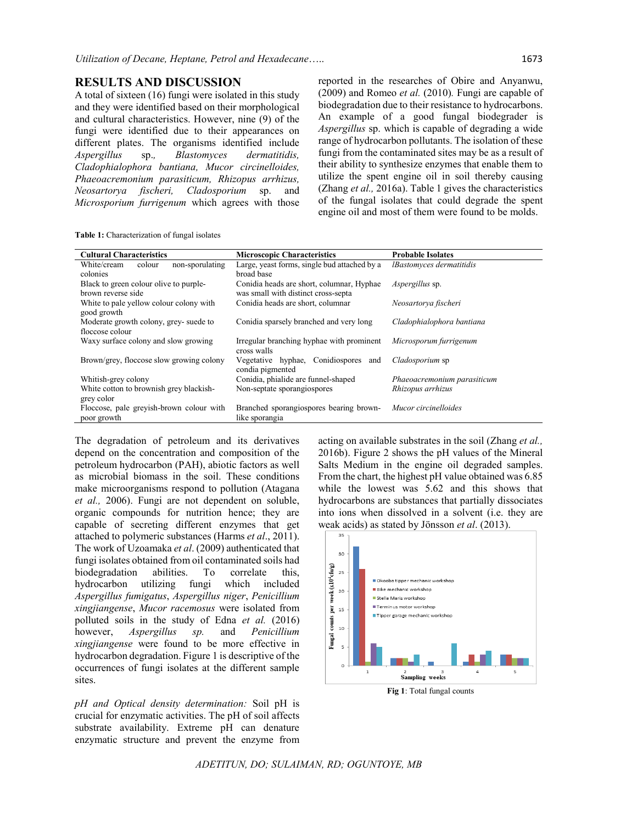### **RESULTS AND DISCUSSION**

A total of sixteen (16) fungi were isolated in this study and they were identified based on their morphological and cultural characteristics. However, nine (9) of the fungi were identified due to their appearances on different plates. The organisms identified include *Aspergillus* sp.*, Blastomyces dermatitidis, Cladophialophora bantiana, Mucor circinelloides, Phaeoacremonium parasiticum, Rhizopus arrhizus, Neosartorya fischeri, Cladosporium* sp. and *Microsporium furrigenum* which agrees with those reported in the researches of Obire and Anyanwu, (2009) and Romeo *et al.* (2010)*.* Fungi are capable of biodegradation due to their resistance to hydrocarbons. An example of a good fungal biodegrader is *Aspergillus* sp. which is capable of degrading a wide range of hydrocarbon pollutants. The isolation of these fungi from the contaminated sites may be as a result of their ability to synthesize enzymes that enable them to utilize the spent engine oil in soil thereby causing (Zhang *et al.,* 2016a). Table 1 gives the characteristics of the fungal isolates that could degrade the spent engine oil and most of them were found to be molds.

**Table 1:** Characterization of fungal isolates

| <b>Cultural Characteristics</b>          | <b>Microscopic Characteristics</b>                       | <b>Probable Isolates</b>        |
|------------------------------------------|----------------------------------------------------------|---------------------------------|
| non-sporulating<br>White/cream<br>colour | Large, yeast forms, single bud attached by a             | <i>IBastomyces dermatitidis</i> |
| colonies                                 | broad base                                               |                                 |
| Black to green colour olive to purple-   | Conidia heads are short, columnar, Hyphae                | <i>Aspergillus</i> sp.          |
| brown reverse side                       | was small with distinct cross-septa                      |                                 |
| White to pale yellow colour colony with  | Conidia heads are short, columnar                        | Neosartorya fischeri            |
| good growth                              |                                                          |                                 |
| Moderate growth colony, grey- suede to   | Conidia sparsely branched and very long                  | Cladophialophora bantiana       |
| floccose colour                          |                                                          |                                 |
| Waxy surface colony and slow growing     | Irregular branching hyphae with prominent<br>cross walls | Microsporum furrigenum          |
| Brown/grey, floccose slow growing colony | Vegetative hyphae, Conidiospores<br>and                  | Cladosporium sp                 |
|                                          | condia pigmented                                         |                                 |
| Whitish-grey colony                      | Conidia, phialide are funnel-shaped                      | Phaeoacremonium parasiticum     |
| White cotton to brownish grey blackish-  | Non-septate sporangiospores                              | Rhizopus arrhizus               |
| grey color                               |                                                          |                                 |
| Floccose, pale greyish-brown colour with | Branched sporangiospores bearing brown-                  | Mucor circinelloides            |
| poor growth                              | like sporangia                                           |                                 |

The degradation of petroleum and its derivatives depend on the concentration and composition of the petroleum hydrocarbon (PAH), abiotic factors as well as microbial biomass in the soil. These conditions make microorganisms respond to pollution (Atagana *et al.,* 2006). Fungi are not dependent on soluble, organic compounds for nutrition hence; they are capable of secreting different enzymes that get attached to polymeric substances (Harms *et al*., 2011). The work of Uzoamaka *et al*. (2009) authenticated that fungi isolates obtained from oil contaminated soils had biodegradation abilities. To correlate this, hydrocarbon utilizing fungi which included *Aspergillus fumigatus*, *Aspergillus niger*, *Penicillium xingjiangense*, *Mucor racemosus* were isolated from polluted soils in the study of Edna *et al.* (2016) however, *Aspergillus sp.* and *Penicillium xingjiangense* were found to be more effective in hydrocarbon degradation. Figure 1 is descriptive of the occurrences of fungi isolates at the different sample sites.

*pH and Optical density determination:* Soil pH is crucial for enzymatic activities. The pH of soil affects substrate availability. Extreme pH can denature enzymatic structure and prevent the enzyme from

acting on available substrates in the soil (Zhang *et al.,* 2016b). Figure 2 shows the pH values of the Mineral Salts Medium in the engine oil degraded samples. From the chart, the highest pH value obtained was 6.85 while the lowest was 5.62 and this shows that hydrocarbons are substances that partially dissociates into ions when dissolved in a solvent (i.e. they are weak acids) as stated by Jönsson *et al*. (2013).



*ADETITUN, DO; SULAIMAN, RD; OGUNTOYE, MB*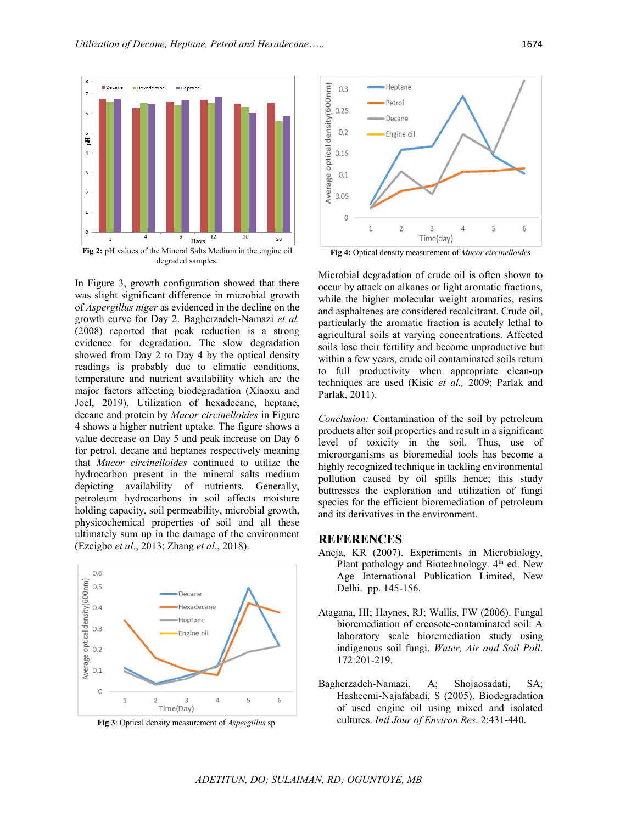

In Figure 3, growth configuration showed that there was slight significant difference in microbial growth of *Aspergillus niger* as evidenced in the decline on the growth curve for Day 2. Bagherzadeh-Namazi *et al.* (2008) reported that peak reduction is a strong evidence for degradation. The slow degradation showed from Day 2 to Day 4 by the optical density readings is probably due to climatic conditions, temperature and nutrient availability which are the major factors affecting biodegradation (Xiaoxu and Joel, 2019). Utilization of hexadecane, heptane, decane and protein by *Mucor circinelloides* in Figure 4 shows a higher nutrient uptake. The figure shows a value decrease on Day 5 and peak increase on Day 6 for petrol, decane and heptanes respectively meaning that *Mucor circinelloides* continued to utilize the hydrocarbon present in the mineral salts medium depicting availability of nutrients. Generally, petroleum hydrocarbons in soil affects moisture holding capacity, soil permeability, microbial growth, physicochemical properties of soil and all these ultimately sum up in the damage of the environment (Ezeigbo *et al*., 2013; Zhang *et al*., 2018).



**Fig 3**: Optical density measurement of *Aspergillus* sp*.*



**Fig 4:** Optical density measurement of *Mucor circinelloides*

Microbial degradation of crude oil is often shown to occur by attack on alkanes or light aromatic fractions, while the higher molecular weight aromatics, resins and asphaltenes are considered recalcitrant. Crude oil, particularly the aromatic fraction is acutely lethal to agricultural soils at varying concentrations. Affected soils lose their fertility and become unproductive but within a few years, crude oil contaminated soils return to full productivity when appropriate clean-up techniques are used (Kisic *et al.,* 2009; Parlak and Parlak, 2011).

*Conclusion:* Contamination of the soil by petroleum products alter soil properties and result in a significant level of toxicity in the soil. Thus, use of microorganisms as bioremedial tools has become a highly recognized technique in tackling environmental pollution caused by oil spills hence; this study buttresses the exploration and utilization of fungi species for the efficient bioremediation of petroleum and its derivatives in the environment.

#### **REFERENCES**

- Aneja, KR (2007). Experiments in Microbiology, Plant pathology and Biotechnology.  $4<sup>th</sup>$  ed. New Age International Publication Limited, New Delhi. pp. 145-156.
- Atagana, HI; Haynes, RJ; Wallis, FW (2006). Fungal bioremediation of creosote-contaminated soil: A laboratory scale bioremediation study using indigenous soil fungi. *Water, Air and Soil Poll*. 172:201-219.
- Bagherzadeh-Namazi, A; Shojaosadati, SA; Hasheemi-Najafabadi, S (2005). Biodegradation of used engine oil using mixed and isolated cultures. *Intl Jour of Environ Res*. 2:431-440.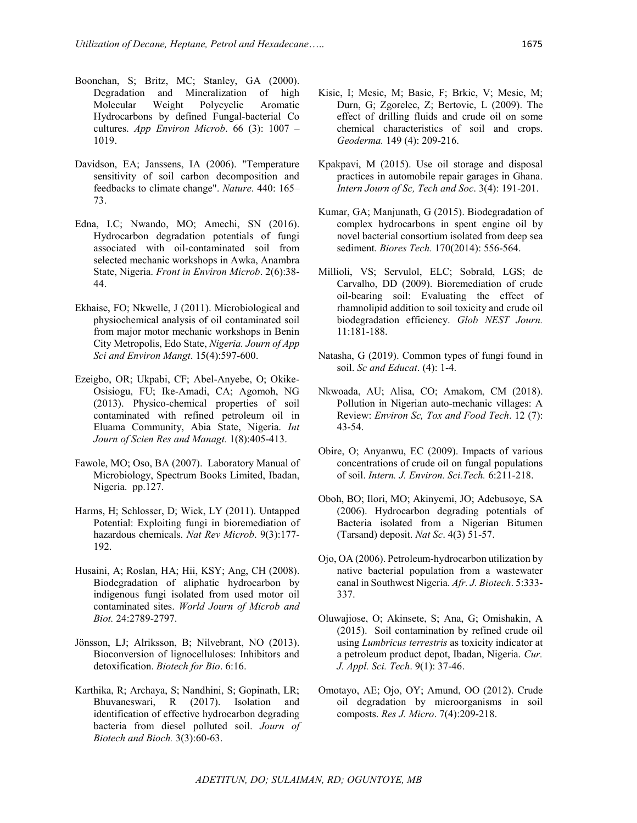- Boonchan, S; Britz, MC; Stanley, GA (2000). Degradation and Mineralization of high Molecular Weight Polycyclic Aromatic Hydrocarbons by defined Fungal-bacterial Co cultures. *App Environ Microb*. 66 (3): 1007 – 1019.
- Davidson, EA; Janssens, IA (2006). "Temperature sensitivity of soil carbon decomposition and feedbacks to climate change". *Nature*. 440: 165-73.
- Edna, I.C; Nwando, MO; Amechi, SN (2016). Hydrocarbon degradation potentials of fungi associated with oil-contaminated soil from selected mechanic workshops in Awka, Anambra State, Nigeria. *Front in Environ Microb*. 2(6):38- 44.
- Ekhaise, FO; Nkwelle, J (2011). Microbiological and physiochemical analysis of oil contaminated soil from major motor mechanic workshops in Benin City Metropolis, Edo State, *Nigeria. Journ of App Sci and Environ Mangt*. 15(4):597-600.
- Ezeigbo, OR; Ukpabi, CF; Abel-Anyebe, O; Okike-Osisiogu, FU; Ike-Amadi, CA; Agomoh, NG (2013). Physico-chemical properties of soil contaminated with refined petroleum oil in Eluama Community, Abia State, Nigeria. *Int Journ of Scien Res and Managt.* 1(8):405-413.
- Fawole, MO; Oso, BA (2007). Laboratory Manual of Microbiology, Spectrum Books Limited, Ibadan, Nigeria. pp.127.
- Harms, H; Schlosser, D; Wick, LY (2011). Untapped Potential: Exploiting fungi in bioremediation of hazardous chemicals. *Nat Rev Microb*. 9(3):177- 192.
- Husaini, A; Roslan, HA; Hii, KSY; Ang, CH (2008). Biodegradation of aliphatic hydrocarbon by indigenous fungi isolated from used motor oil contaminated sites. *World Journ of Microb and Biot.* 24:2789-2797.
- Jönsson, LJ; Alriksson, B; Nilvebrant, NO (2013). Bioconversion of lignocelluloses: Inhibitors and detoxification. *Biotech for Bio*. 6:16.
- Karthika, R; Archaya, S; Nandhini, S; Gopinath, LR; Bhuvaneswari, R (2017). Isolation and identification of effective hydrocarbon degrading bacteria from diesel polluted soil. *Journ of Biotech and Bioch.* 3(3):60-63.
- Kisic, I; Mesic, M; Basic, F; Brkic, V; Mesic, M; Durn, G; Zgorelec, Z; Bertovic, L (2009). The effect of drilling fluids and crude oil on some chemical characteristics of soil and crops. *Geoderma.* 149 (4): 209-216.
- Kpakpavi, M (2015). Use oil storage and disposal practices in automobile repair garages in Ghana. *Intern Journ of Sc, Tech and Soc*. 3(4): 191-201.
- Kumar, GA; Manjunath, G (2015). Biodegradation of complex hydrocarbons in spent engine oil by novel bacterial consortium isolated from deep sea sediment. *Biores Tech.* 170(2014): 556-564.
- Millioli, VS; Servulol, ELC; Sobrald, LGS; de Carvalho, DD (2009). Bioremediation of crude oil-bearing soil: Evaluating the effect of rhamnolipid addition to soil toxicity and crude oil biodegradation efficiency. *Glob NEST Journ.* 11:181-188.
- Natasha, G (2019). Common types of fungi found in soil. *Sc and Educat*. (4): 1-4.
- Nkwoada, AU; Alisa, CO; Amakom, CM (2018). Pollution in Nigerian auto-mechanic villages: A Review: *Environ Sc, Tox and Food Tech*. 12 (7): 43-54.
- Obire, O; Anyanwu, EC (2009). Impacts of various concentrations of crude oil on fungal populations of soil. *Intern. J. Environ. Sci.Tech.* 6:211-218.
- Oboh, BO; Ilori, MO; Akinyemi, JO; Adebusoye, SA (2006). Hydrocarbon degrading potentials of Bacteria isolated from a Nigerian Bitumen (Tarsand) deposit. *Nat Sc*. 4(3) 51-57.
- Ojo, OA (2006). Petroleum-hydrocarbon utilization by native bacterial population from a wastewater canal in Southwest Nigeria. *Afr. J. Biotech*. 5:333- 337.
- Oluwajiose, O; Akinsete, S; Ana, G; Omishakin, A (2015). Soil contamination by refined crude oil using *Lumbricus terrestris* as toxicity indicator at a petroleum product depot, Ibadan, Nigeria. *Cur. J. Appl. Sci. Tech*. 9(1): 37-46.
- Omotayo, AE; Ojo, OY; Amund, OO (2012). Crude oil degradation by microorganisms in soil composts. *Res J. Micro*. 7(4):209-218.